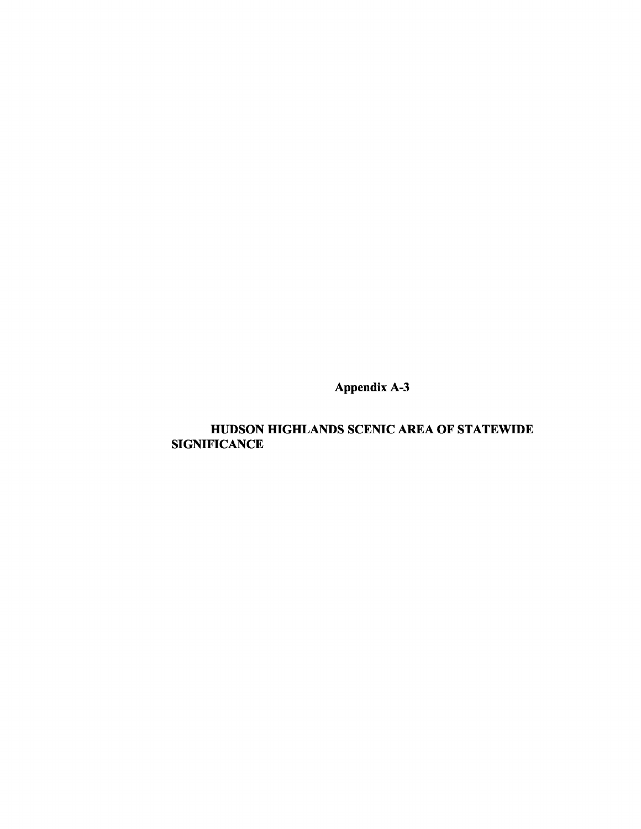Appendix A-3

# HUDSON HIGHLANDS SCENIC AREA OF STATEWIDE **SIGNIFICANCE**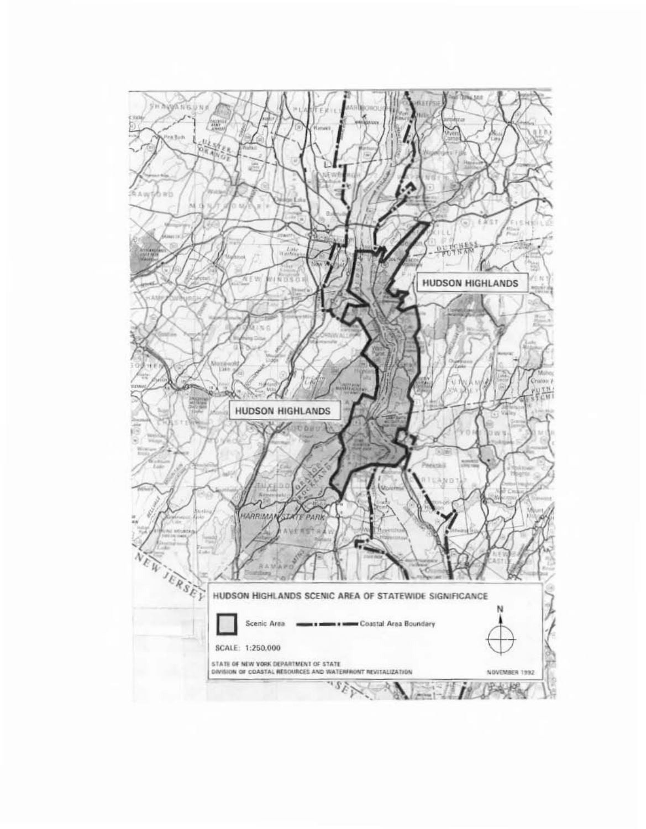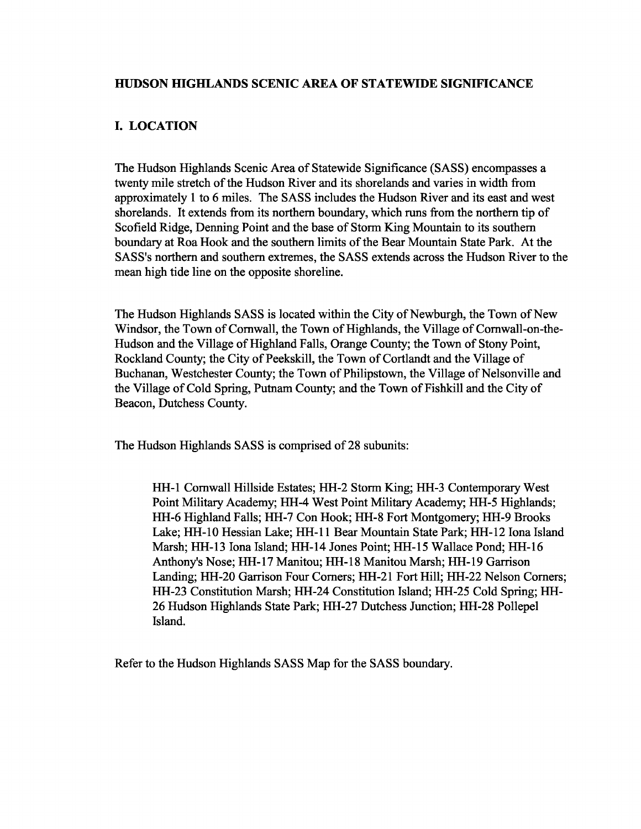### HUDSON HIGHLANDS SCENIC AREA OF STATEWIDE SIGNIFICANCE

## I. LOCATION

The Hudson Highlands Scenic Area of Statewide Significance (SASS) encompasses a twenty mile stretch of the Hudson River and its shorelands and varies in width from approximately 1 to 6 miles. The SASS includes the Hudson River and its east and west shorelands. It extends from its northern boundary, which runs from the northern tip of Scofield Ridge, Denning Point and the base of Storm King Mountain to its southern boundary at Roa Hook and the southern limits of the Bear Mountain State Park. At the SASS's northern and southern extremes, the SASS extends across the Hudson River to the mean high tide line on the opposite shoreline.

The Hudson Highlands SASS is located within the City of Newburgh, the Town of New Windsor, the Town of Cornwall, the Town of Highlands, the Village of Cornwall-on-the-Hudson and the Village of Highland Falls, Orange County; the Town of Stony Point, Rockland County; the City of Peekskill, the Town of Cortlandt and the Village of Buchanan, Westchester County; the Town of Philipstown, the Village of Nelsonville and the Village of Cold Spring, Putnam County; and the Town of Fishkill and the City of Beacon, Dutchess County.

The Hudson Highlands SASS is comprised of 28 subunits:

HH-l Cornwall Hillside Estates; HH-2 Storm King; HH-3 Contemporary West Point Military Academy; HH-4 West Point Military Academy; HH-5 Highlands; HH-6 Highland Falls; HH-7 Con Hook; HH-8 Fort Montgomery; HH-9 Brooks Lake; HH-IO Hessian Lake; HH-ll Bear Mountain State Park; HH-12 lona Island Marsh; HH-13 lona Island; HH-14 Jones Point; HH-15 Wallace Pond; HH-16 Anthony's Nose; HH-17 Manitou; HH-18 Manitou Marsh; HH-19 Garrison Landing; HH-20 Garrison Four Comers; HH-21 Fort Hill; HH-22 Nelson Comers; HH-23 Constitution Marsh; HH-24 Constitution Island; HH-25 Cold Spring; HH-26 Hudson Highlands State Park; HH-27 Dutchess Junction; HH-28 Pollepel Island.

Refer to the Hudson Highlands SASS Map for the SASS boundary.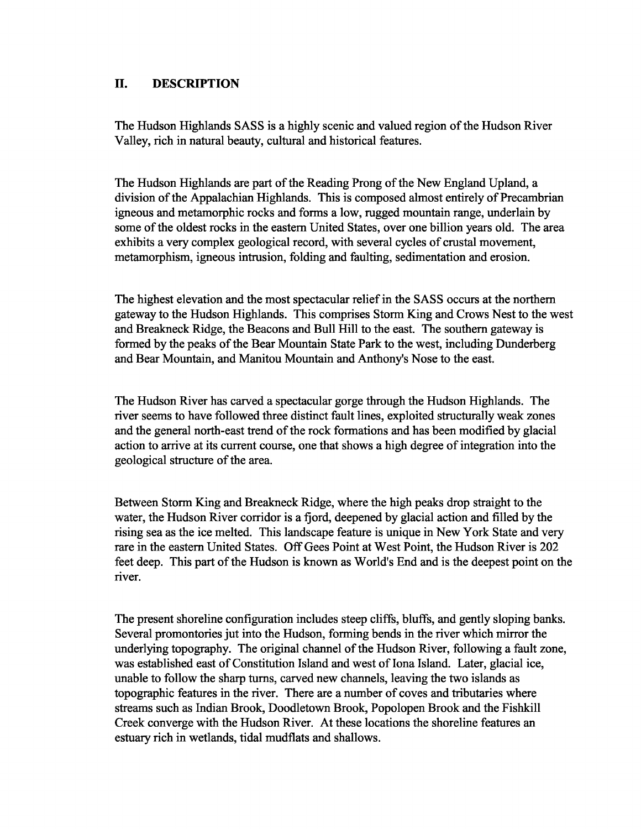### **II. DESCRIPTION**

The Hudson Highlands SASS is a highly scenic and valued region of the Hudson River Valley, rich in natural beauty, cultural and historical features.

The Hudson Highlands are part of the Reading Prong of the New England Upland, a division of the Appalachian Highlands. This is composed almost entirely of Precambrian igneous and metamorphic rocks and forms a low, rugged mountain range, underlain by some ofthe oldest rocks in the eastern United States, over one billion years old. The area exhibits a very complex geological record, with several cycles of crustal movement, metamorphism, igneous intrusion, folding and faulting, sedimentation and erosion.

The highest elevation and the most spectacular relief in the SASS occurs at the northern gateway to the Hudson Highlands. This comprises Storm King and Crows Nest to the west and Breakneck Ridge, the Beacons and Bull Hill to the east. The southern gateway is formed by the peaks of the Bear Mountain State Park to the west, including Dunderberg and Bear Mountain, and Manitou Mountain and Anthony's Nose to the east.

The Hudson River has carved a spectacular gorge through the Hudson Highlands. The river seems to have followed three distinct fault lines, exploited structurally weak zones and the general north-east trend of the rock formations and has been modified by glacial action to arrive at its current course, one that shows a high degree of integration into the geological structure of the area.

Between Storm King and Breakneck Ridge, where the high peaks drop straight to the water, the Hudson River corridor is a fjord, deepened by glacial action and filled by the rising sea as the ice melted. This landscape feature is unique in New York State and very rare in the eastern United States. Off Gees Point at West Point, the Hudson River is 202 feet deep. This part of the Hudson is known as World's End and is the deepest point on the river.

The present shoreline configuration includes steep cliffs, bluffs, and gently sloping banks. Several promontories jut into the Hudson, forming bends in the river which mirror the underlying topography. The original channel of the Hudson River, following a fault zone, was established east of Constitution Island and west of Iona Island. Later, glacial ice, unable to follow the sharp turns, carved new channels, leaving the two islands as topographic features in the river. There are a number of coves and tributaries where streams such as Indian Brook, Doodletown Brook, Popolopen Brook and the Fishkill Creek converge with the Hudson River. At these locations the shoreline features an estuary rich in wetlands, tidal mudflats and shallows.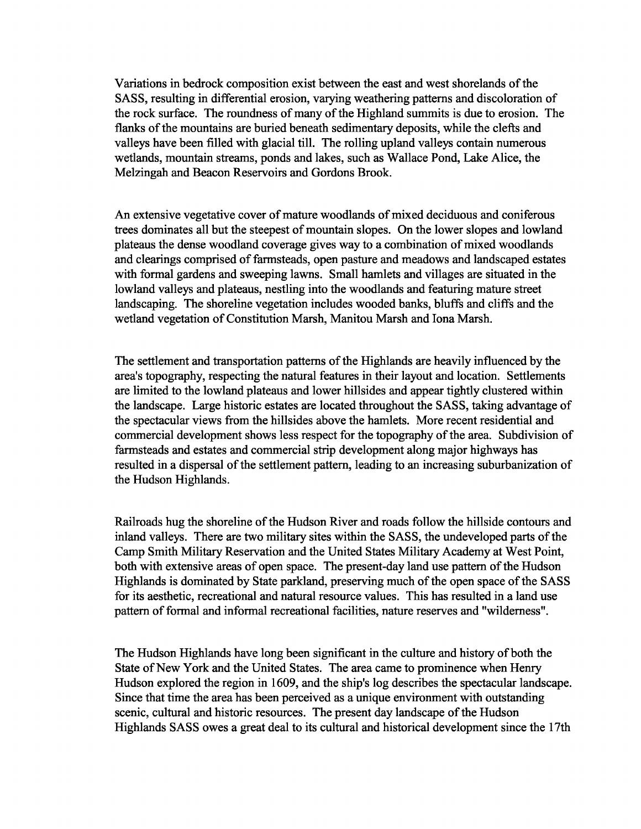Variations in bedrock composition exist between the east and west shorelands of the SASS, resulting in differential erosion, varying weathering patterns and discoloration of the rock surface. The roundness of many of the Highland summits is due to erosion. The flanks of the mountains are buried beneath sedimentary deposits, while the clefts and valleys have been filled with glacial till. The rolling upland valleys contain numerous wetlands, mountain streams, ponds and lakes, such as Wallace Pond, Lake Alice, the Melzingah and Beacon Reservoirs and Gordons Brook.

An extensive vegetative cover of mature woodlands of mixed deciduous and coniferous trees dominates all but the steepest of mountain slopes. On the lower slopes and lowland plateaus the dense woodland coverage gives way to a combination of mixed woodlands and clearings comprised of farmsteads, open pasture and meadows and landscaped estates with formal gardens and sweeping lawns. Small hamlets and villages are situated in the lowland valleys and plateaus, nestling into the woodlands and featuring mature street landscaping. The shoreline vegetation includes wooded banks, bluffs and cliffs and the wetland vegetation of Constitution Marsh, Manitou Marsh and Iona Marsh.

The settlement and transportation patterns of the Highlands are heavily influenced by the area's topography, respecting the natural features in their layout and location. Settlements are limited to the lowland plateaus and lower hillsides and appear tightly clustered within the landscape. Large historic estates are located throughout the SASS, taking advantage of the spectacular views from the hillsides above the hamlets. More recent residential and commercial development shows less respect for the topography of the area. Subdivision of farmsteads and estates and commercial strip development along major highways has resulted in a dispersal of the settlement pattern, leading to an increasing suburbanization of the Hudson Highlands.

Railroads hug the shoreline of the Hudson River and roads follow the hillside contours and inland valleys. There are two military sites within the SASS, the undeveloped parts of the Camp Smith Military Reservation and the United States Military Academy at West Point, both with extensive areas of open space. The present-day land use pattern of the Hudson Highlands is dominated by State parkland, preserving much of the open space of the SASS for its aesthetic, recreational and natural resource values. This has resulted in a land use pattern of formal and informal recreational facilities, nature reserves and "wilderness".

The Hudson Highlands have long been significant in the culture and history of both the State of New York and the United States. The area came to prominence when Henry Hudson explored the region in 1609, and the ship's log describes the spectacular landscape. Since that time the area has been perceived as a unique environment with outstanding scenic, cultural and historic resources. The present day landscape of the Hudson Highlands SASS owes a great deal to its cultural and historical development since the 17th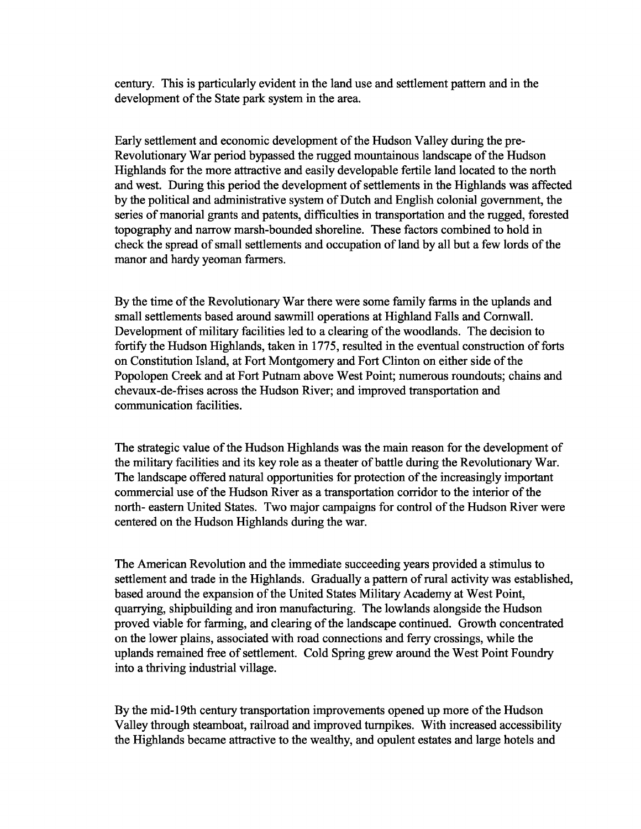century. This is particularly evident in the land use and settlement pattern and in the development of the State park system in the area.

Early settlement and economic development of the Hudson Valley during the pre-Revolutionary War period bypassed the rugged mountainous landscape of the Hudson Highlands for the more attractive and easily developable fertile land located to the north and west. During this period the development of settlements in the Highlands was affected by the political and administrative system of Dutch and English colonial government, the series of manorial grants and patents, difficulties in transportation and the rugged, forested topography and narrow marsh-bounded shoreline. These factors combined to hold in check the spread of small settlements and occupation of land by all but a few lords of the manor and hardy yeoman farmers.

By the time of the Revolutionary War there were some family farms in the uplands and small settlements based around sawmill operations at Highland Falls and Cornwall. Development of military facilities led to a clearing of the woodlands. The decision to fortify the Hudson Highlands, taken in 1775, resulted in the eventual construction of forts on Constitution Island, at Fort Montgomery and Fort Clinton on either side of the Popolopen Creek and at Fort Putnam above West Point; numerous roundouts; chains and chevaux-de-frises across the Hudson River; and improved transportation and communication facilities.

The strategic value of the Hudson Highlands was the main reason for the development of the military facilities and its key role as a theater of battle during the Revolutionary War. The landscape offered natural opportunities for protection of the increasingly important commercial use of the Hudson River as a transportation corridor to the interior of the north- eastern United States. Two major campaigns for control of the Hudson River were centered on the Hudson Highlands during the war.

The American Revolution and the immediate succeeding years provided a stimulus to settlement and trade in the Highlands. Gradually a pattern of rural activity was established, based around the expansion of the United States Military Academy at West Point, quarrying, shipbuilding and iron manufacturing. The lowlands alongside the Hudson proved viable for farming, and clearing of the landscape continued. Growth concentrated on the lower plains, associated with road connections and ferry crossings, while the uplands remained free of settlement. Cold Spring grew around the West Point Foundry into a thriving industrial village.

By the mid-19th century transportation improvements opened up more of the Hudson Valley through steamboat, railroad and improved turnpikes. With increased accessibility the Highlands became attractive to the wealthy, and opulent estates and large hotels and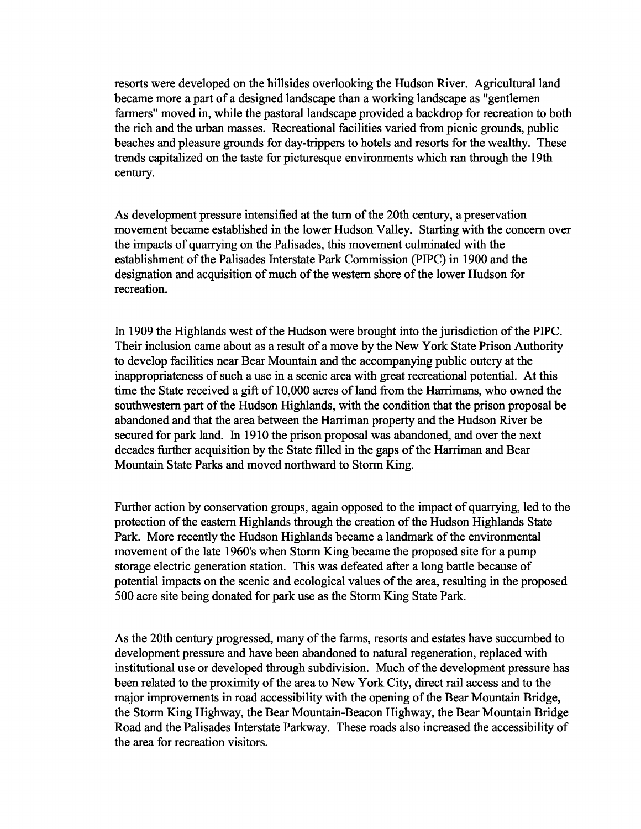resorts were developed on the hillsides overlooking the Hudson River. Agriculturalland became more a part of a designed landscape than a working landscape as "gentlemen farmers" moved in, while the pastoral landscape provided a backdrop for recreation to both the rich and the urban masses. Recreational facilities varied from picnic grounds, public beaches and pleasure grounds for day-trippers to hotels and resorts for the wealthy. These trends capitalized on the taste for picturesque environments which ran through the 19th century.

As development pressure intensified at the turn of the 20th century, a preservation movement became established in the lower Hudson Valley. Starting with the concern over the impacts of quarrying on the Palisades, this movement culminated with the establishment of the Palisades Interstate Park Commission (PIPC) in 1900 and the designation and acquisition of much of the western shore of the lower Hudson for recreation.

In 1909 the Highlands west of the Hudson were brought into the jurisdiction of the PIPC. Their inclusion came about as a result of a move by the New York State Prison Authority to develop facilities near Bear Mountain and the accompanying public outcry at the inappropriateness of such a use in a scenic area with great recreational potential. At this time the State received a gift of 10,000 acres of land from the Harrimans, who owned the southwestern part of the Hudson Highlands, with the condition that the prison proposal be abandoned and that the area between the Harriman property and the Hudson River be secured for park land. In 1910 the prison proposal was abandoned, and over the next decades further acquisition by the State filled in the gaps of the Harriman and Bear Mountain State Parks and moved northward to Storm King.

Further action by conservation groups, again opposed to the impact of quarrying, led to the protection of the eastern Highlands through the creation of the Hudson Highlands State Park. More recently the Hudson Highlands became a landmark of the environmental movement of the late 1960's when Storm King became the proposed site for a pump storage electric generation station. This was defeated after a long battle because of potential impacts on the scenic and ecological values of the area, resulting in the proposed 500 acre site being donated for park use as the Storm King State Park.

As the 20th century progressed, many of the farms, resorts and estates have succumbed to development pressure and have been abandoned to natural regeneration, replaced with institutional use or developed through subdivision. Much of the development pressure has been related to the proximity of the area to New York City, direct rail access and to the major improvements in road accessibility with the opening of the Bear Mountain Bridge, the Storm King Highway, the Bear Mountain-Beacon Highway, the Bear Mountain Bridge Road and the Palisades Interstate Parkway. These roads also increased the accessibility of the area for recreation visitors.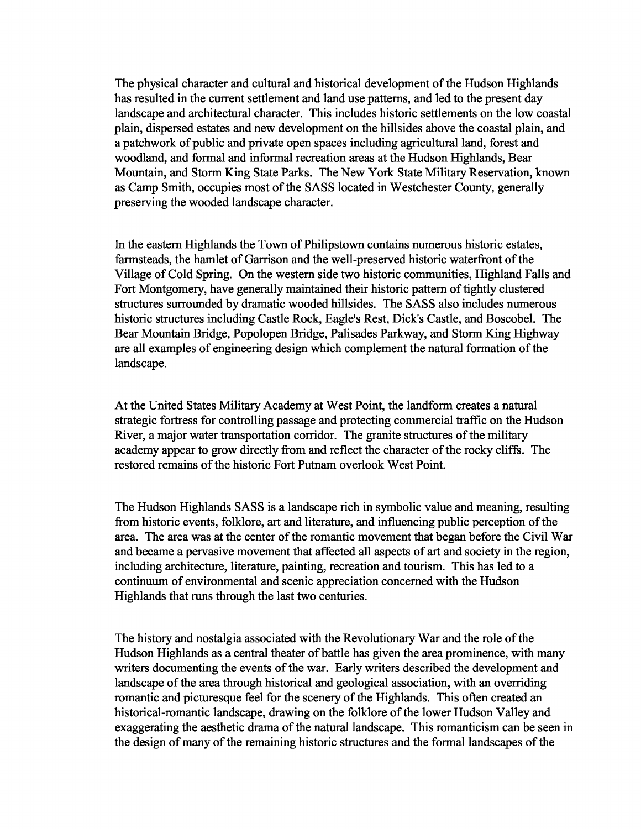The physical character and cultural and historical development of the Hudson Highlands has resulted in the current settlement and land use patterns, and led to the present day landscape and architectural character. This includes historic settlements on the low coastal plain, dispersed estates and new development on the hillsides above the coastal plain, and a patchwork of public and private open spaces including agricultural land, forest and woodland, and formal and informal recreation areas at the Hudson Highlands, Bear Mountain, and Storm King State Parks. The New York State Military Reservation, known as Camp Smith, occupies most of the SASS located in Westchester County, generally preserving the wooded landscape character.

In the eastern Highlands the Town of Philipstown contains numerous historic estates, farmsteads, the hamlet of Garrison and the well-preserved historic waterfront of the Village of Cold Spring. On the western side two historic communities, Highland Falls and Fort Montgomery, have generally maintained their historic pattern of tightly clustered structures surrounded by dramatic wooded hillsides. The SASS also includes numerous historic structures including Castle Rock, Eagle's Rest, Dick's Castle, and Boscobel. The Bear Mountain Bridge, Popolopen Bridge, Palisades Parkway, and Storm King Highway are all examples of engineering design which complement the natural formation of the landscape.

At the United States Military Academy at West Point, the landform creates a natural strategic fortress for controlling passage and protecting commercial traffic on the Hudson River, a major water transportation corridor. The granite structures of the military academy appear to grow directly from and reflect the character of the rocky cliffs. The restored remains of the historic Fort Putnam overlook West Point.

The Hudson Highlands SASS is a landscape rich in symbolic value and meaning, resulting from historic events, folklore, art and literature, and influencing public perception of the area. The area was at the center of the romantic movement that began before the Civil War and became a pervasive movement that affected all aspects of art and society in the region, including architecture, literature, painting, recreation and tourism. This has led to a continuum of environmental and scenic appreciation concerned with the Hudson Highlands that runs through the last two centuries.

The history and nostalgia associated with the Revolutionary War and the role of the Hudson Highlands as a central theater of battle has given the area prominence, with many writers documenting the events of the war. Early writers described the development and landscape of the area through historical and geological association, with an overriding romantic and picturesque feel for the scenery of the Highlands. This often created an historical-romantic landscape, drawing on the folklore of the lower Hudson Valley and exaggerating the aesthetic drama of the natural landscape. This romanticism can be seen in the design of many of the remaining historic structures and the formal landscapes of the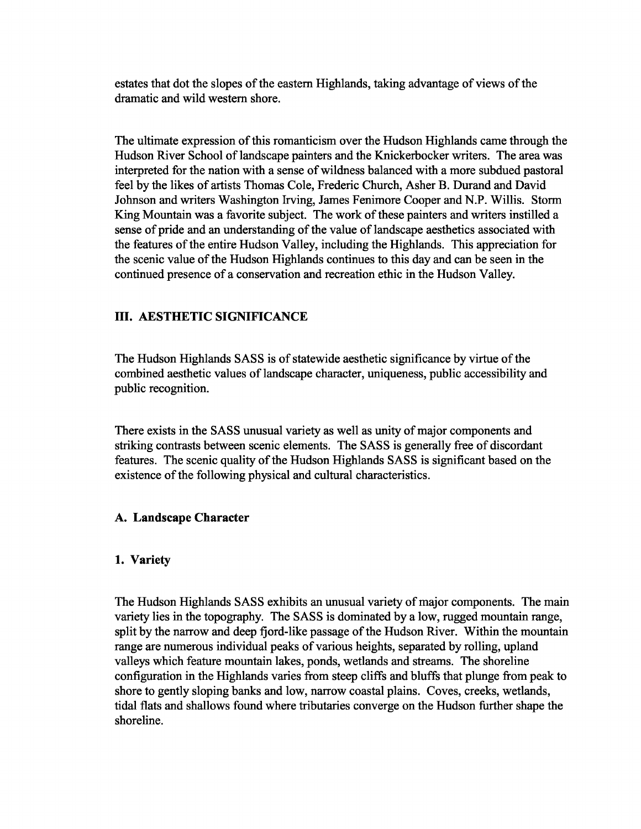estates that dot the slopes of the eastern Highlands, taking advantage of views of the dramatic and wild western shore.

The ultimate expression ofthis romanticism over the Hudson Highlands came through the Hudson River School of landscape painters and the Knickerbocker writers. The area was interpreted for the nation with a sense of wildness balanced with a more subdued pastoral feel by the likes of artists Thomas Cole, Frederic Church, Asher B. Durand and David Johnson and writers Washington Irving, James Fenimore Cooper and N.P. Willis. Storm King Mountain was a favorite subject. The work of these painters and writers instilled a sense of pride and an understanding of the value of landscape aesthetics associated with the features of the entire Hudson Valley, including the Highlands. This appreciation for the scenic value of the Hudson Highlands continues to this day and can be seen in the continued presence of a conservation and recreation ethic in the Hudson Valley.

### **III. AESTHETIC SIGNIFICANCE**

The Hudson Highlands SASS is of statewide aesthetic significance by virtue of the combined aesthetic values of landscape character, uniqueness, public accessibility and public recognition.

There exists in the SASS unusual variety as well as unity of major components and striking contrasts between scenic elements. The SASS is generally free of discordant features. The scenic quality of the Hudson Highlands SASS is significant based on the existence of the following physical and cultural characteristics.

### **A. Landscape Character**

### **1. Variety**

The Hudson Highlands SASS exhibits an unusual variety of major components. The main variety lies in the topography. The SASS is dominated by a low, rugged mountain range, split by the narrow and deep fjord-like passage of the Hudson River. Within the mountain range are numerous individual peaks of various heights, separated by rolling, upland valleys which feature mountain lakes, ponds, wetlands and streams. The shoreline configuration in the Highlands varies from steep cliffs and bluffs that plunge from peak to shore to gently sloping banks and low, narrow coastal plains. Coves, creeks, wetlands, tidal flats and shallows found where tributaries converge on the Hudson further shape the shoreline.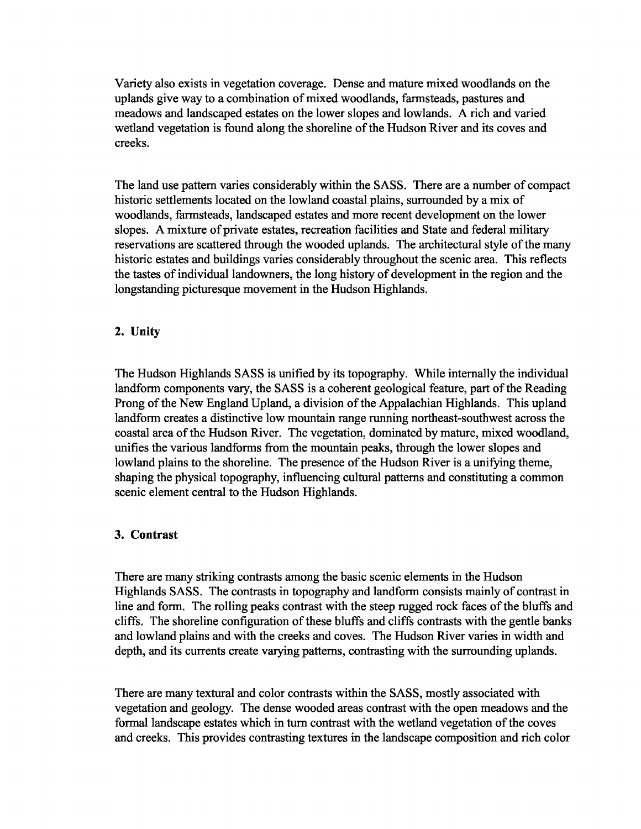Variety also exists in vegetation coverage. Dense and mature mixed woodlands on the uplands give way to a combination of mixed woodlands, farmsteads, pastures and meadows and landscaped estates on the lower slopes and lowlands. A rich and varied wetland vegetation is found along the shoreline of the Hudson River and its coves and creeks.

The land use pattern varies considerably within the SASS. There are a number of compact historic settlements located on the lowland coastal plains, surrounded by a mix of woodlands, farmsteads, landscaped estates and more recent development on the lower slopes. A mixture of private estates, recreation facilities and State and federal military reservations are scattered through the wooded uplands. The architectural style of the many historic estates and buildings varies considerably throughout the scenic area. This reflects the tastes of individual landowners, the long history of development in the region and the longstanding picturesque movement in the Hudson Highlands.

### **2. Unity**

The Hudson Highlands SASS is unified by its topography. While internally the individual landform components vary, the SASS is a coherent geological feature, part of the Reading Prong of the New England Upland, a division of the Appalachian Highlands. This upland landform creates a distinctive low mountain range running northeast-southwest across the coastal area of the Hudson River. The vegetation, dominated by mature, mixed woodland, unifies the various landforms from the mountain peaks, through the lower slopes and lowland plains to the shoreline. The presence of the Hudson River is a unifying theme, shaping the physical topography, influencing cultural patterns and constituting a common scenic element central to the Hudson Highlands.

### **3. Contrast**

There are many striking contrasts among the basic scenic elements in the Hudson Highlands SASS. The contrasts in topography and landform consists mainly of contrast in line and form. The rolling peaks contrast with the steep rugged rock faces of the bluffs and cliffs. The shoreline configuration of these bluffs and cliffs contrasts with the gentle banks and lowland plains and with the creeks and coves. The Hudson River varies in width and depth, and its currents create varying patterns, contrasting with the surrounding uplands.

There are many textural and color contrasts within the SASS, mostly associated with vegetation and geology. The dense wooded areas contrast with the open meadows and the formal landscape estates which in turn contrast with the wetland vegetation of the coves and creeks. This provides contrasting textures in the landscape composition and rich color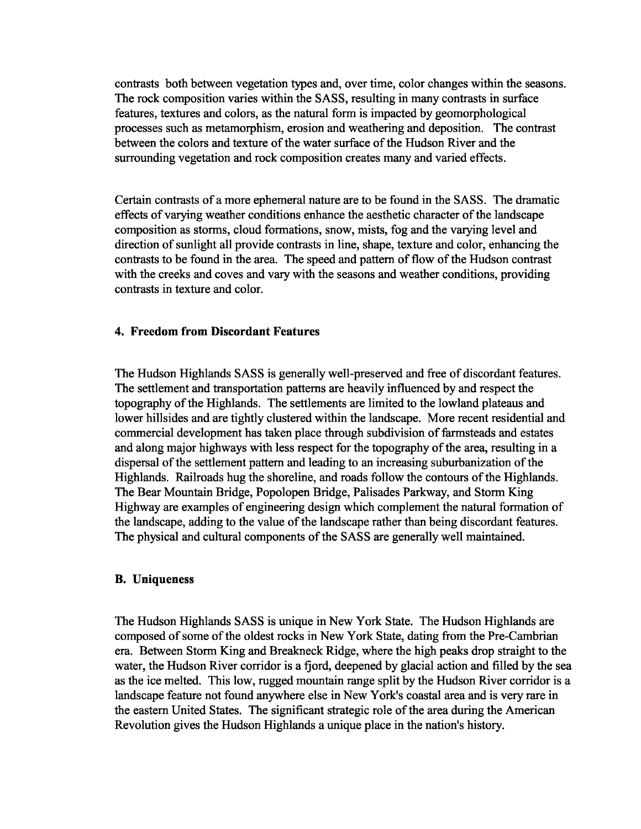contrasts both between vegetation types and, over time, color changes within the seasons. The rock composition varies within the SASS, resulting in many contrasts in surface features, textures and colors, as the natural form is impacted by geomorphological processes such as metamorphism, erosion and weathering and deposition. The contrast between the colors and texture of the water surface of the Hudson River and the surrounding vegetation and rock composition creates many and varied effects.

Certain contrasts of a more ephemeral nature are to be found in the SASS. The dramatic effects of varying weather conditions enhance the aesthetic character of the landscape composition as storms, cloud formations, snow, mists, fog and the varying level and direction of sunlight all provide contrasts in line, shape, texture and color, enhancing the contrasts to be found in the area. The speed and pattern of flow of the Hudson contrast with the creeks and coves and vary with the seasons and weather conditions, providing contrasts in texture and color.

### **4. Freedom from Discordant Features**

The Hudson Highlands SASS is generally well-preserved and free of discordant features. The settlement and transportation patterns are heavily influenced by and respect the topography of the Highlands. The settlements are limited to the lowland plateaus and lower hillsides and are tightly clustered within the landscape. More recent residential and commercial development has taken place through subdivision of farmsteads and estates and along major highways with less respect for the topography of the area, resulting in a dispersal of the settlement pattern and leading to an increasing suburbanization of the Highlands. Railroads hug the shoreline, and roads follow the contours of the Highlands. The Bear Mountain Bridge, Popolopen Bridge, Palisades Parkway, and Storm King Highway are examples of engineering design which complement the natural formation of the landscape, adding to the value of the landscape rather than being discordant features. The physical and cultural components of the SASS are generally well maintained.

### **B. Uniqueness**

The Hudson Highlands SASS is unique in New York State. The Hudson Highlands are composed of some of the oldest rocks in New York State, dating from the Pre-Cambrian era. Between Storm King and Breakneck Ridge, where the high peaks drop straight to the water, the Hudson River corridor is a fjord, deepened by glacial action and filled by the sea as the ice melted. This low, rugged mountain range split by the Hudson River corridor is a landscape feature not found anywhere else in New York's coastal area and is very rare in the eastern United States. The significant strategic role of the area during the American Revolution gives the Hudson Highlands a unique place in the nation's history.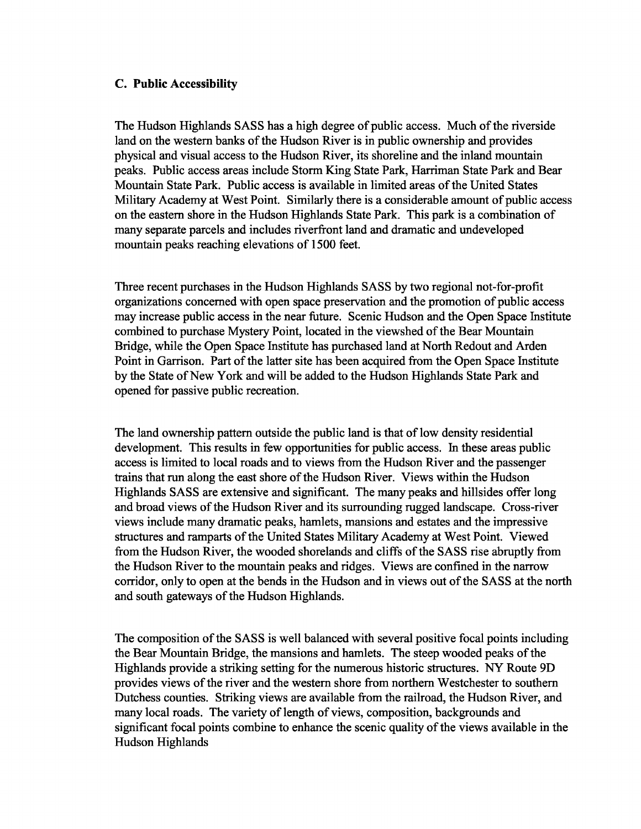### **c. Public Accessibility**

The Hudson Highlands SASS has a high degree of public access. Much of the riverside land on the western banks of the Hudson River is in public ownership and provides physical and visual access to the Hudson River, its shoreline and the inland mountain peaks. Public access areas include Storm King State Park, Harriman State Park and Bear Mountain State Park. Public access is available in limited areas of the United States Military Academy at West Point. Similarly there is a considerable amount of public access on the eastern shore in the Hudson Highlands State Park. This park is a combination of many separate parcels and includes riverfront land and dramatic and undeveloped mountain peaks reaching elevations of 1500 feet.

Three recent purchases in the Hudson Highlands SASS by two regional not-for-profit organizations concerned with open space preservation and the promotion of public access may increase public access in the near future. Scenic Hudson and the Open Space Institute combined to purchase Mystery Point, located in the viewshed of the Bear Mountain Bridge, while the Open Space Institute has purchased land at North Redout and Arden Point in Garrison. Part of the latter site has been acquired from the Open Space Institute by the State of New York and will be added to the Hudson Highlands State Park and opened for passive public recreation.

The land ownership pattern outside the public land is that of low density residential development. This results in few opportunities for public access. In these areas public access is limited to local roads and to views from the Hudson River and the passenger trains that run along the east shore of the Hudson River. Views within the Hudson Highlands SASS are extensive and significant. The many peaks and hillsides offer long and broad views of the Hudson River and its surrounding rugged landscape. Cross-river views include many dramatic peaks, hamlets, mansions and estates and the impressive structures and ramparts of the United States Military Academy at West Point. Viewed from the Hudson River, the wooded shorelands and cliffs of the SASS rise abruptly from the Hudson River to the mountain peaks and ridges. Views are confined in the narrow corridor, only to open at the bends in the Hudson and in views out of the SASS at the north and south gateways of the Hudson Highlands.

The composition of the SASS is well balanced with several positive focal points including the Bear Mountain Bridge, the mansions and hamlets. The steep wooded peaks of the Highlands provide a striking setting for the numerous historic structures. NY Route 9D provides views of the river and the western shore from northern Westchester to southern Dutchess counties. Striking views are available from the railroad, the Hudson River, and many local roads. The variety of length of views, composition, backgrounds and significant focal points combine to enhance the scenic quality of the views available in the Hudson Highlands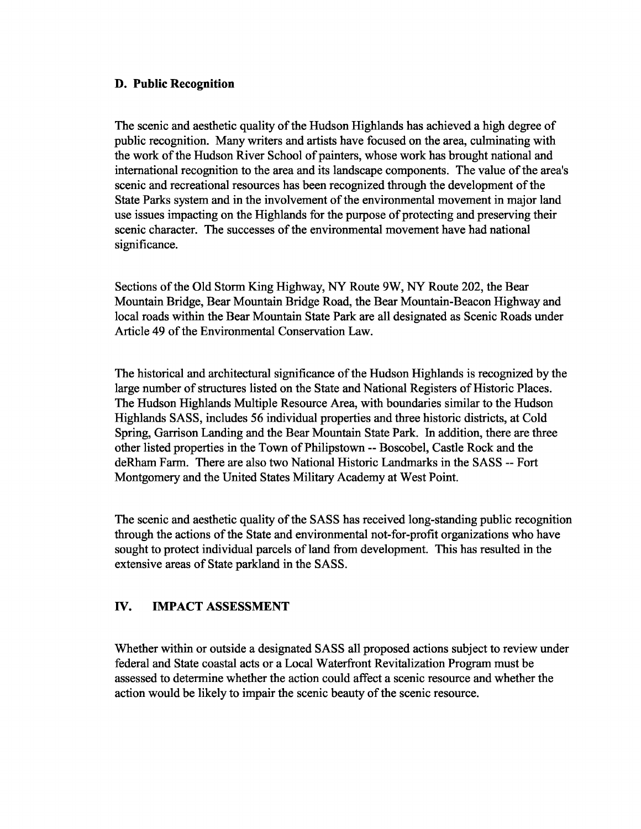### D. Public Recognition

The scenic and aesthetic quality of the Hudson Highlands has achieved a high degree of public recognition. Many writers and artists have focused on the area, culminating with the work of the Hudson River School of painters, whose work has brought national and international recognition to the area and its landscape components. The value of the area's scenic and recreational resources has been recognized through the development of the State Parks system and in the involvement of the environmental movement in major land use issues impacting on the Highlands for the purpose of protecting and preserving their scenic character. The successes of the environmental movement have had national significance.

Sections of the Old Storm King Highway, NY Route 9W, NY Route 202, the Bear Mountain Bridge, Bear Mountain Bridge Road, the Bear Mountain-Beacon Highway and local roads within the Bear Mountain State Park are all designated as Scenic Roads under Article 49 of the Environmental Conservation Law.

The historical and architectural significance ofthe Hudson Highlands is recognized by the large number of structures listed on the State and National Registers of Historic Places. The Hudson Highlands Multiple Resource Area, with boundaries similar to the Hudson Highlands SASS, includes 56 individual properties and three historic districts, at Cold Spring, Garrison Landing and the Bear Mountain State Park. In addition, there are three other listed properties in the Town ofPhilipstown -- Boscobel, Castle Rock and the deRham Farm. There are also two National Historic Landmarks in the SASS -- Fort Montgomery and the United States Military Academy at West Point.

The scenic and aesthetic quality of the SASS has received long-standing public recognition through the actions of the State and environmental not-for-profit organizations who have sought to protect individual parcels of land from development. This has resulted in the extensive areas of State parkland in the SASS.

### IV. IMPACT ASSESSMENT

Whether within or outside a designated SASS all proposed actions subject to review under federal and State coastal acts or a Local Waterfront Revitalization Program must be assessed to determine whether the action could affect a scenic resource and whether the action would be likely to impair the scenic beauty of the scenic resource.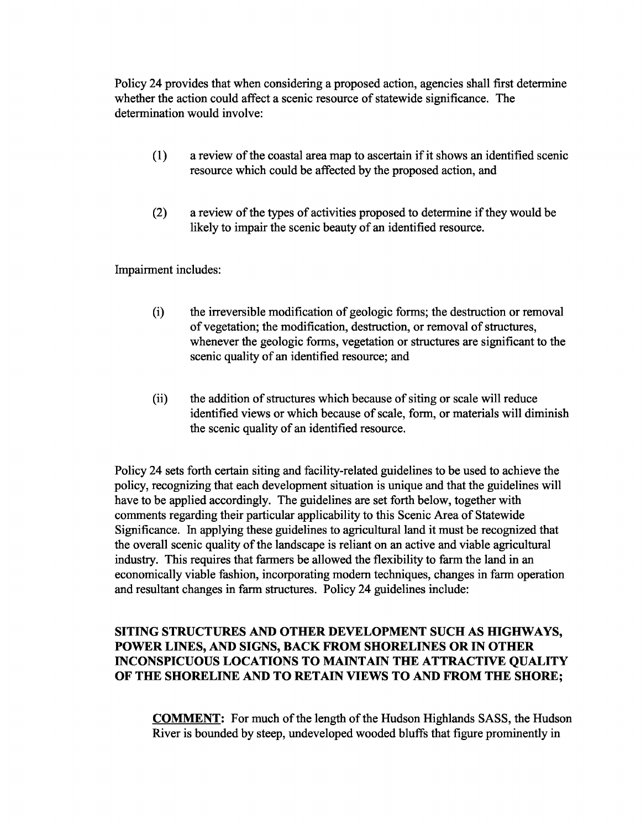Policy 24 provides that when considering a proposed action, agencies shall first determine whether the action could affect a scenic resource of statewide significance. The determination would involve:

- $(1)$  a review of the coastal area map to ascertain if it shows an identified scenic resource which could be affected by the proposed action, and
- $(2)$  a review of the types of activities proposed to determine if they would be likely to impair the scenic beauty of an identified resource.

Impairment includes:

- (i) the irreversible modification of geologic forms; the destruction or removal of vegetation; the modification, destruction, or removal of structures, whenever the geologic forms, vegetation or structures are significant to the scenic quality of an identified resource; and
- (ii) the addition of structures which because of siting or scale will reduce identified views or which because of scale, form, or materials will diminish the scenic quality of an identified resource.

Policy 24 sets forth certain siting and facility-related guidelines to be used to achieve the policy, recognizing that each development situation is unique and that the guidelines will have to be applied accordingly. The guidelines are set forth below, together with comments regarding their particular applicability to this Scenic Area of Statewide Significance. In applying these guidelines to agricultural land it must be recognized that the overall scenic quality of the landscape is reliant on an active and viable agricultural industry. This requires that farmers be allowed the flexibility to farm the land in an economically viable fashion, incorporating modem techniques, changes in farm operation and resultant changes in farm structures. Policy 24 guidelines include:

## SITING STRUCTURES AND OTHER DEVELOPMENT SUCH AS HIGHWAYS, POWER LINES, AND SIGNS, BACK FROM SHORELINES OR IN OTHER INCONSPICUOUS LOCATIONS TO MAINTAIN THE ATTRACTIVE QUALITY OF THE SHORELINE AND TO RETAIN VIEWS TO AND FROM THE SHORE;

**COMMENT:** For much of the length of the Hudson Highlands SASS, the Hudson River is bounded by steep, undeveloped wooded bluffs that figure prominently in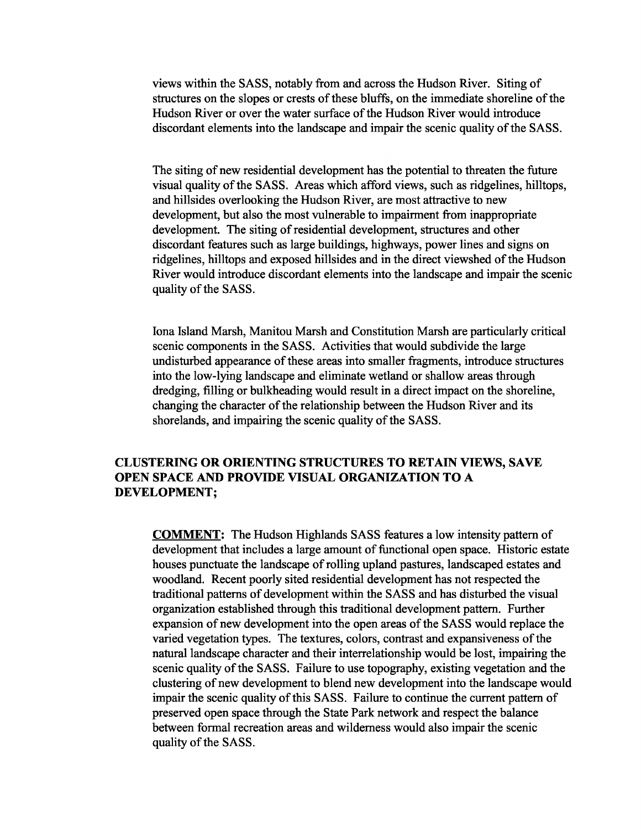views within the SASS, notably from and across the Hudson River. Siting of structures on the slopes or crests of these bluffs, on the immediate shoreline of the Hudson River or over the water surface of the Hudson River would introduce discordant elements into the landscape and impair the scenic quality of the SASS.

The siting of new residential development has the potential to threaten the future visual quality of the SASS. Areas which afford views, such as ridgelines, hilltops, and hillsides overlooking the Hudson River, are most attractive to new development, but also the most vulnerable to impairment from inappropriate development. The siting of residential development, structures and other discordant features such as large buildings, highways, power lines and signs on ridgelines, hilltops and exposed hillsides and in the direct viewshed of the Hudson River would introduce discordant elements into the landscape and impair the scenic quality of the SASS.

lona Island Marsh, Manitou Marsh and Constitution Marsh are particularly critical scenic components in the SASS. Activities that would subdivide the large undisturbed appearance of these areas into smaller fragments, introduce structures into the low-lying landscape and eliminate wetland or shallow areas through dredging, filling or bulkheading would result in a direct impact on the shoreline, changing the character of the relationship between the Hudson River and its shorelands, and impairing the scenic quality of the SASS.

### CLUSTERING OR ORIENTING STRUCTURES TO RETAIN VIEWS, SAVE OPEN SPACE AND PROVIDE VISUAL ORGANIZATION TO A DEVELOPMENT;

COMMENT: The Hudson Highlands SASS features a low intensity pattern of development that includes a large amount of functional open space. Historic estate houses punctuate the landscape of rolling upland pastures, landscaped estates and woodland. Recent poorly sited residential development has not respected the traditional patterns of development within the SASS and has disturbed the visual organization established through this traditional development pattern. Further expansion of new development into the open areas of the SASS would replace the varied vegetation types. The textures, colors, contrast and expansiveness of the natural landscape character and their interrelationship would be lost, impairing the scenic quality of the SASS. Failure to use topography, existing vegetation and the clustering of new development to blend new development into the landscape would impair the scenic quality of this SASS. Failure to continue the current pattern of preserved open space through the State Park network and respect the balance between formal recreation areas and wilderness would also impair the scenic quality of the SASS.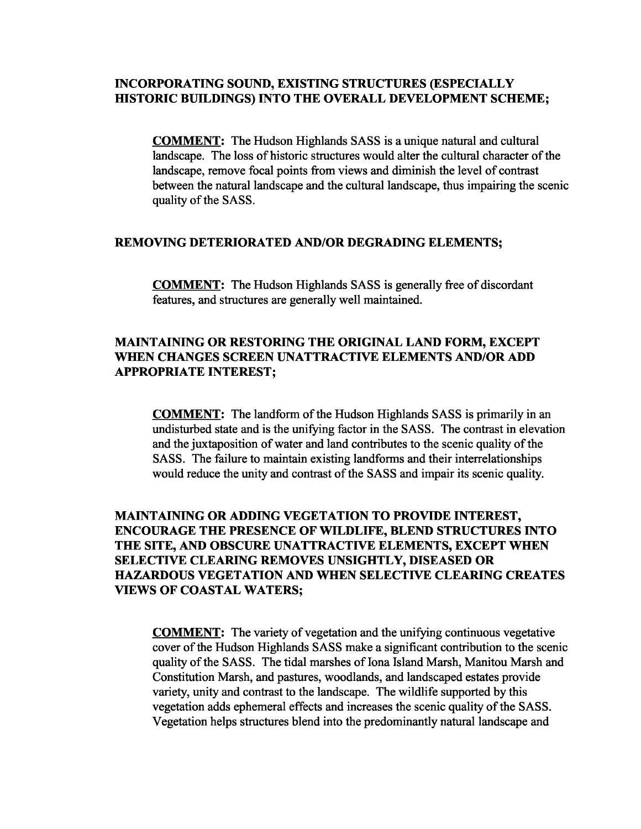### **INCORPORATING SOUND, EXISTING STRUCTURES (ESPECIALLY mSTORIC BUILDINGS) INTO THE OVERALL DEVELOPMENT SCHEME;**

**COMMENT:** The Hudson Highlands SASS is a unique natural and cultural landscape. The loss of historic structures would alter the cultural character of the landscape, remove focal points from views and diminish the level of contrast between the natural landscape and the cultural landscape, thus impairing the scenic quality of the SASS.

#### **REMOVING DETERIORATED AND/OR DEGRADING ELEMENTS;**

**COMMENT:** The Hudson Highlands SASS is generally free of discordant features, and structures are generally well maintained.

### **MAINTAINING OR RESTORING THE ORIGINAL LAND FORM, EXCEPT WHEN CHANGES SCREEN UNATTRACTIVE ELEMENTS AND/OR ADD APPROPRIATE INTEREST;**

**COMMENT:** The landform of the Hudson Highlands SASS is primarily in an undisturbed state and is the unifying factor in the SASS. The contrast in elevation and the juxtaposition of water and land contributes to the scenic quality of the SASS. The failure to maintain existing landforms and their interrelationships would reduce the unity and contrast of the SASS and impair its scenic quality.

## **MAINTAINING OR ADDING VEGETATION TO PROVIDE INTEREST, ENCOURAGE THE PRESENCE OF WILDLIFE, BLEND STRUCTURES INTO THE SITE, AND OBSCURE UNATTRACTIVE ELEMENTS, EXCEPT WHEN SELECTIVE CLEARING REMOVES UNSIGHTLY, DISEASED OR HAZARDOUS VEGETATION AND WHEN SELECTIVE CLEARING CREATES VIEWS OF COASTAL WATERS;**

**COMMENT:** The variety of vegetation and the unifying continuous vegetative cover of the Hudson Highlands SASS make a significant contribution to the scenic quality of the SASS. The tidal marshes of Iona Island Marsh, Manitou Marsh and Constitution Marsh, and pastures, woodlands, and landscaped estates provide variety, unity and contrast to the landscape. The wildlife supported by this vegetation adds ephemeral effects and increases the scenic quality of the SASS. Vegetation helps structures blend into the predominantly natural landscape and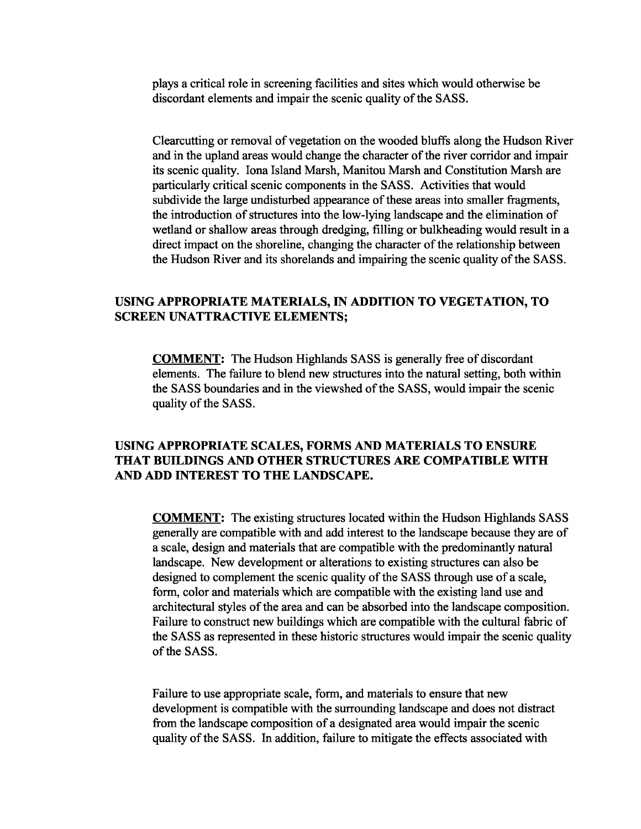plays a critical role in screening facilities and sites which would otherwise be discordant elements and impair the scenic quality of the SASS.

Clearcutting or removal of vegetation on the wooded bluffs along the Hudson River and in the upland areas would change the character of the river corridor and impair its scenic quality. lona Island Marsh, Manitou Marsh and Constitution Marsh are particularly critical scenic components in the SASS. Activities that would subdivide the large undisturbed appearance of these areas into smaller fragments, the introduction of structures into the low-lying landscape and the elimination of wetland or shallow areas through dredging, filling or bulkheading would result in a direct impact on the shoreline, changing the character of the relationship between the Hudson River and its shorelands and impairing the scenic quality of the SASS.

### USING APPROPRIATE MATERIALS, IN ADDITION TO VEGETATION, TO SCREEN UNATTRACTIVE ELEMENTS;

COMMENT: The Hudson Highlands SASS is generally free of discordant elements. The failure to blend new structures into the natural setting, both within the SASS boundaries and in the viewshed of the SASS, would impair the scenic quality of the SASS.

### USING APPROPRIATE SCALES, FORMS AND MATERIALS TO ENSURE THAT BUILDINGS AND OTHER STRUCTURES ARE COMPATIBLE WITH AND ADD INTEREST TO THE LANDSCAPE.

COMMENT: The existing structures located within the Hudson Highlands SASS generally are compatible with and add interest to the landscape because they are of a scale, design and materials that are compatible with the predominantly natural landscape. New development or alterations to existing structures can also be designed to complement the scenic quality of the SASS through use of a scale, form, color and materials which are compatible with the existing land use and architectural styles of the area and can be absorbed into the landscape composition. Failure to construct new buildings which are compatible with the cultural fabric of the SASS as represented in these historic structures would impair the scenic quality of the SASS.

Failure to use appropriate scale, form, and materials to ensure that new development is compatible with the surrounding landscape and does not distract from the landscape composition of a designated area would impair the scenic quality of the SASS. In addition, failure to mitigate the effects associated with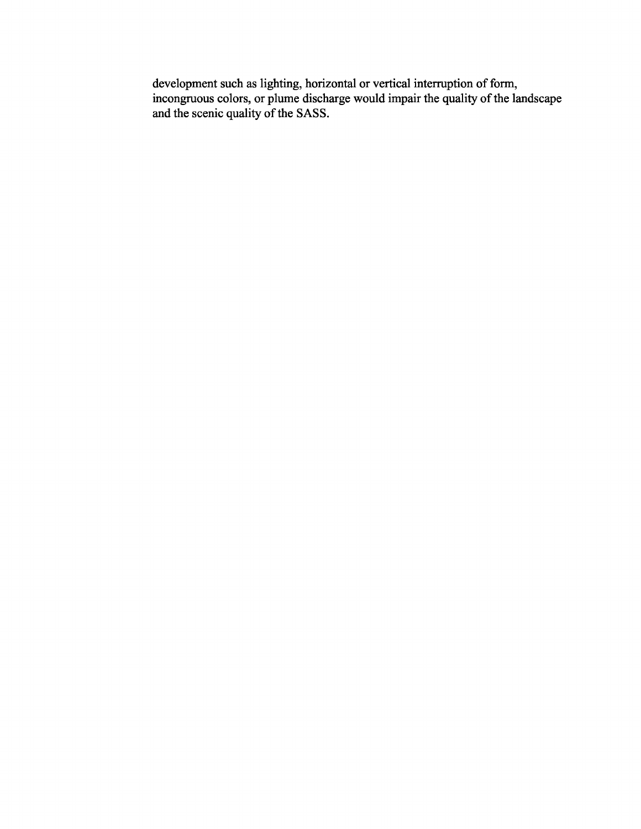development such as lighting, horizontal or vertical interruption of form, incongruous colors, or plume discharge would impair the quality of the landscape and the scenic quality of the SASS.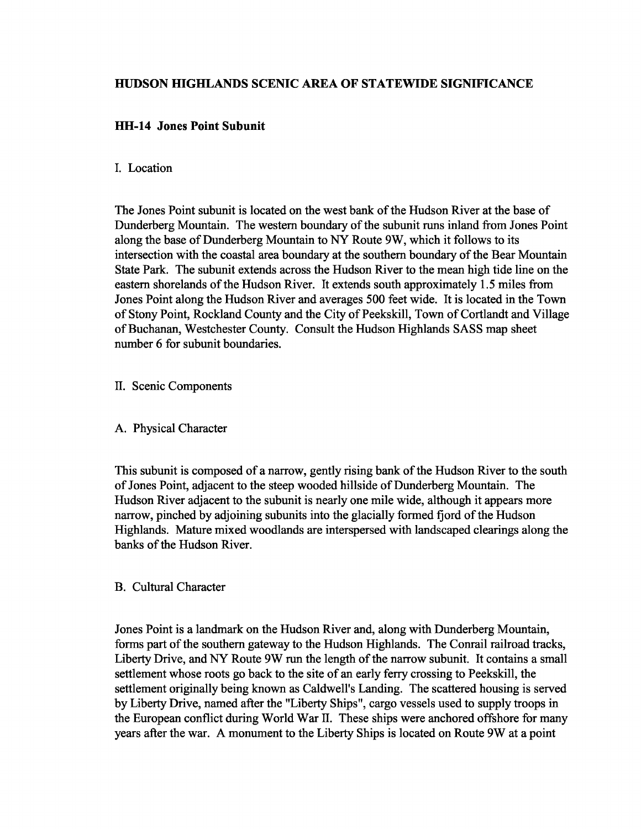## **HUDSON HIGHLANDS SCENIC AREA OF STATEWIDE SIGNIFICANCE**

## **HH-14 Jones Point Subunit**

### I. Location

The Jones Point subunit is located on the west bank of the Hudson River at the base of Dunderberg Mountain. The western boundary of the subunit runs inland from Jones Point along the base of Dunderberg Mountain to NY Route 9W, which it follows to its intersection with the coastal area boundary at the southern boundary of the Bear Mountain State Park. The subunit extends across the Hudson River to the mean high tide line on the eastern shorelands of the Hudson River. It extends south approximately 1.5 miles from Jones Point along the Hudson River and averages 500 feet wide. It is located in the Town of Stony Point, Rockland County and the City of Peekskill, Town of Cortlandt and Village of Buchanan, Westchester County. Consult the Hudson Highlands SASS map sheet number 6 for subunit boundaries.

### II. Scenic Components

### A. Physical Character

This subunit is composed of a narrow, gently rising bank of the Hudson River to the south of Jones Point, adjacent to the steep wooded hillside of Dunderberg Mountain. The Hudson River adjacent to the subunit is nearly one mile wide, although it appears more narrow, pinched by adjoining subunits into the glacially formed fjord of the Hudson Highlands. Mature mixed woodlands are interspersed with landscaped clearings along the banks of the Hudson River.

### B. Cultural Character

Jones Point is a landmark on the Hudson River and, along with Dunderberg Mountain, forms part of the southern gateway to the Hudson Highlands. The Conrail railroad tracks, Liberty Drive, and NY Route 9W run the length of the narrow subunit. It contains a small settlement whose roots go back to the site of an early ferry crossing to Peekskill, the settlement originally being known as Caldwell's Landing. The scattered housing is served by Liberty Drive, named after the "Liberty Ships", cargo vessels used to supply troops in the European conflict during WorId War II. These ships were anchored offshore for many years after the war. A monument to the Liberty Ships is located on Route 9W at a point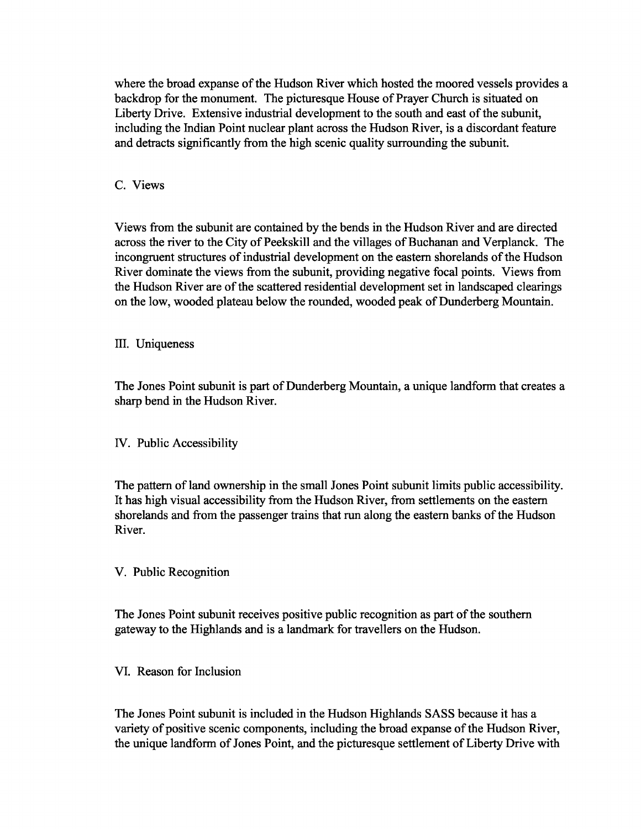where the broad expanse of the Hudson River which hosted the moored vessels provides a backdrop for the monument. The picturesque House of Prayer Church is situated on Liberty Drive. Extensive industrial development to the south and east of the subunit, including the Indian Point nuclear plant across the Hudson River, is a discordant feature and detracts significantly from the high scenic quality surrounding the subunit.

### C. Views

Views from the subunit are contained by the bends in the Hudson River and are directed across the river to the City of Peekskill and the villages of Buchanan and Verplanck. The incongruent structures of industrial development on the eastern shorelands of the Hudson River dominate the views from the subunit, providing negative focal points. Views from the Hudson River are of the scattered residential development set in landscaped clearings on the low, wooded plateau below the rounded, wooded peak of Dunderberg Mountain.

### III. Uniqueness

The Jones Point subunit is part of Dunderberg Mountain, a unique landform that creates a sharp bend in the Hudson River.

### IV. Public Accessibility

The pattern of land ownership in the small Jones Point subunit limits public accessibility. It has high visual accessibility from the Hudson River, from settlements on the eastern shorelands and from the passenger trains that run along the eastern banks of the Hudson River.

### V. Public Recognition

The Jones Point subunit receives positive public recognition as part of the southern gateway to the Highlands and is a landmark for travellers on the Hudson.

### VI. Reason for Inclusion

The Jones Point subunit is included in the Hudson Highlands SASS because it has a variety of positive scenic components, including the broad expanse of the Hudson River, the unique landform of Jones Point, and the picturesque settlement of Liberty Drive with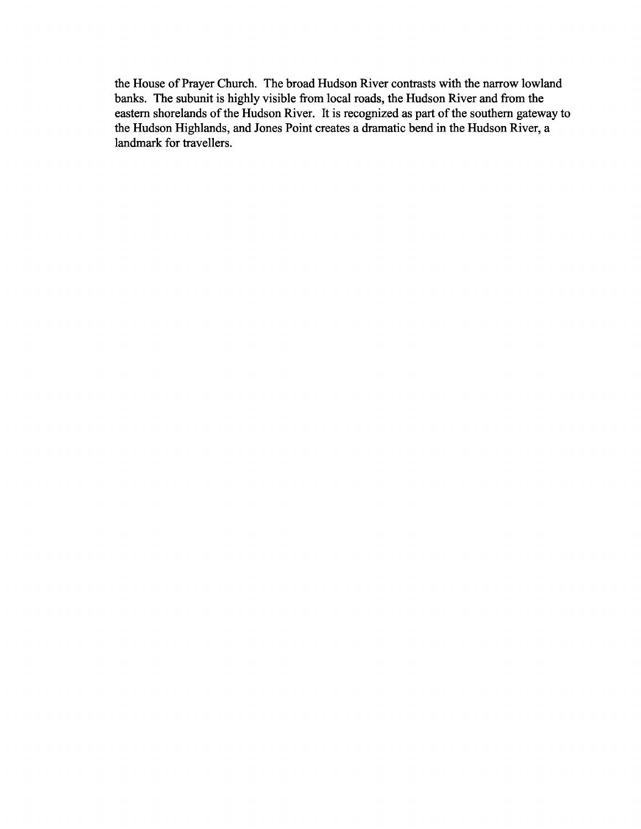the House of Prayer Church. The broad Hudson River contrasts with the narrow lowland banks. The subunit is highly visible from local roads, the Hudson River and from the eastern shorelands of the Hudson River. It is recognized as part of the southern gateway to the Hudson Highlands, and Jones Point creates a dramatic bend in the Hudson River, a landmark for travellers.